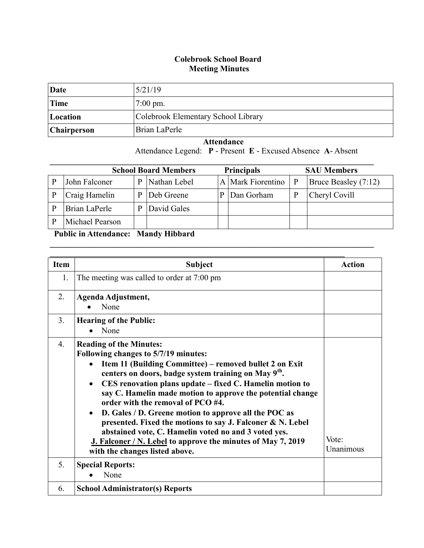## **Colebrook School Board Meeting Minutes**

| Date        | 5/21/19                             |
|-------------|-------------------------------------|
| Time        | $7:00 \text{ pm}$ .                 |
| Location    | Colebrook Elementary School Library |
| Chairperson | Brian LaPerle                       |

## **Attendance**

Attendance Legend: **P** - Present **E** - Excused Absence **A**- Absent

|                 |   | <b>School Board Members</b> | <b>Principals</b> |                   |              | <b>SAU Members</b>   |
|-----------------|---|-----------------------------|-------------------|-------------------|--------------|----------------------|
| John Falconer   | D | Nathan Lebel                |                   | A Mark Fiorentino | $\mathbf{P}$ | Bruce Beasley (7:12) |
| Craig Hamelin   | p | Deb Greene                  |                   | Dan Gorham        | P            | Cheryl Covill        |
| Brian LaPerle   |   | David Gales                 |                   |                   |              |                      |
| Michael Pearson |   |                             |                   |                   |              |                      |

 $\mathcal{L}_\mathcal{L} = \mathcal{L}_\mathcal{L} = \mathcal{L}_\mathcal{L} = \mathcal{L}_\mathcal{L} = \mathcal{L}_\mathcal{L} = \mathcal{L}_\mathcal{L} = \mathcal{L}_\mathcal{L} = \mathcal{L}_\mathcal{L} = \mathcal{L}_\mathcal{L} = \mathcal{L}_\mathcal{L} = \mathcal{L}_\mathcal{L} = \mathcal{L}_\mathcal{L} = \mathcal{L}_\mathcal{L} = \mathcal{L}_\mathcal{L} = \mathcal{L}_\mathcal{L} = \mathcal{L}_\mathcal{L} = \mathcal{L}_\mathcal{L}$ 

## **Public in Attendance: Mandy Hibbard**

| <b>Item</b> | <b>Subject</b>                                                                                                                                                                                                                                                                                                                                                                                                                                                                                                                                                                                                                                                                  | <b>Action</b>      |
|-------------|---------------------------------------------------------------------------------------------------------------------------------------------------------------------------------------------------------------------------------------------------------------------------------------------------------------------------------------------------------------------------------------------------------------------------------------------------------------------------------------------------------------------------------------------------------------------------------------------------------------------------------------------------------------------------------|--------------------|
| 1.          | The meeting was called to order at 7:00 pm                                                                                                                                                                                                                                                                                                                                                                                                                                                                                                                                                                                                                                      |                    |
| 2.          | Agenda Adjustment,<br>None                                                                                                                                                                                                                                                                                                                                                                                                                                                                                                                                                                                                                                                      |                    |
| 3.          | <b>Hearing of the Public:</b><br>None<br>$\bullet$                                                                                                                                                                                                                                                                                                                                                                                                                                                                                                                                                                                                                              |                    |
| 4.          | <b>Reading of the Minutes:</b><br>Following changes to 5/7/19 minutes:<br>Item 11 (Building Committee) – removed bullet 2 on Exit<br>$\bullet$<br>centers on doors, badge system training on May 9 <sup>th</sup> .<br>CES renovation plans update – fixed C. Hamelin motion to<br>$\bullet$<br>say C. Hamelin made motion to approve the potential change<br>order with the removal of PCO #4.<br>D. Gales / D. Greene motion to approve all the POC as<br>presented. Fixed the motions to say J. Falconer & N. Lebel<br>abstained vote, C. Hamelin voted no and 3 voted yes.<br>J. Falconer / N. Lebel to approve the minutes of May 7, 2019<br>with the changes listed above. | Vote:<br>Unanimous |
| 5.          | <b>Special Reports:</b><br>None                                                                                                                                                                                                                                                                                                                                                                                                                                                                                                                                                                                                                                                 |                    |
| 6.          | <b>School Administrator(s) Reports</b>                                                                                                                                                                                                                                                                                                                                                                                                                                                                                                                                                                                                                                          |                    |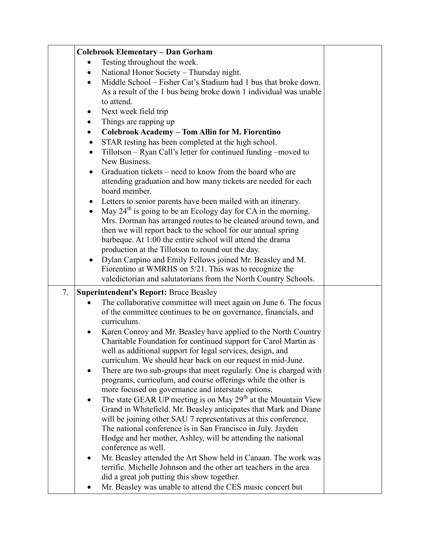|    | <b>Colebrook Elementary - Dan Gorham</b>                                                                                                        |  |
|----|-------------------------------------------------------------------------------------------------------------------------------------------------|--|
|    | Testing throughout the week.                                                                                                                    |  |
|    | National Honor Society - Thursday night.                                                                                                        |  |
|    | Middle School – Fisher Cat's Stadium had 1 bus that broke down.<br>$\bullet$                                                                    |  |
|    | As a result of the 1 bus being broke down 1 individual was unable                                                                               |  |
|    | to attend.                                                                                                                                      |  |
|    | Next week field trip<br>$\bullet$                                                                                                               |  |
|    | Things are rapping up<br>$\bullet$                                                                                                              |  |
|    | Colebrook Academy - Tom Allin for M. Fiorentino<br>$\bullet$                                                                                    |  |
|    | STAR testing has been completed at the high school.<br>$\bullet$                                                                                |  |
|    | Tillotson – Ryan Call's letter for continued funding –moved to<br>$\bullet$                                                                     |  |
|    | New Business.                                                                                                                                   |  |
|    | Graduation tickets – need to know from the board who are                                                                                        |  |
|    | attending graduation and how many tickets are needed for each                                                                                   |  |
|    | board member.                                                                                                                                   |  |
|    | Letters to senior parents have been mailed with an itinerary.<br>$\bullet$                                                                      |  |
|    | May $24th$ is going to be an Ecology day for CA in the morning.                                                                                 |  |
|    | Mrs. Dorman has arranged routes to be cleaned around town, and                                                                                  |  |
|    | then we will report back to the school for our annual spring                                                                                    |  |
|    | barbeque. At 1:00 the entire school will attend the drama                                                                                       |  |
|    | production at the Tillotson to round out the day.                                                                                               |  |
|    | Dylan Carpino and Emily Fellows joined Mr. Beasley and M.<br>$\bullet$                                                                          |  |
|    | Fiorentino at WMRHS on 5/21. This was to recognize the                                                                                          |  |
|    | valedictorian and salutatorians from the North Country Schools.                                                                                 |  |
| 7. | <b>Superintendent's Report: Bruce Beasley</b>                                                                                                   |  |
|    | The collaborative committee will meet again on June 6. The focus                                                                                |  |
|    | of the committee continues to be on governance, financials, and                                                                                 |  |
|    | curriculum.                                                                                                                                     |  |
|    | Karen Conroy and Mr. Beasley have applied to the North Country<br>$\bullet$                                                                     |  |
|    | Charitable Foundation for continued support for Carol Martin as                                                                                 |  |
|    | well as additional support for legal services, design, and<br>curriculum. We should hear back on our request in mid-June.                       |  |
|    |                                                                                                                                                 |  |
|    | There are two sub-groups that meet regularly. One is charged with<br>$\bullet$<br>programs, curriculum, and course offerings while the other is |  |
|    | more focused on governance and interstate options.                                                                                              |  |
|    | The state GEAR UP meeting is on May 29 <sup>th</sup> at the Mountain View<br>$\bullet$                                                          |  |
|    | Grand in Whitefield. Mr. Beasley anticipates that Mark and Diane                                                                                |  |
|    | will be joining other SAU 7 representatives at this conference.                                                                                 |  |
|    | The national conference is in San Francisco in July. Jayden                                                                                     |  |
|    | Hodge and her mother, Ashley, will be attending the national                                                                                    |  |
|    | conference as well.                                                                                                                             |  |
|    | Mr. Beasley attended the Art Show held in Canaan. The work was<br>$\bullet$                                                                     |  |
|    | terrific. Michelle Johnson and the other art teachers in the area                                                                               |  |
|    | did a great job putting this show together.                                                                                                     |  |
|    | Mr. Beasley was unable to attend the CES music concert but                                                                                      |  |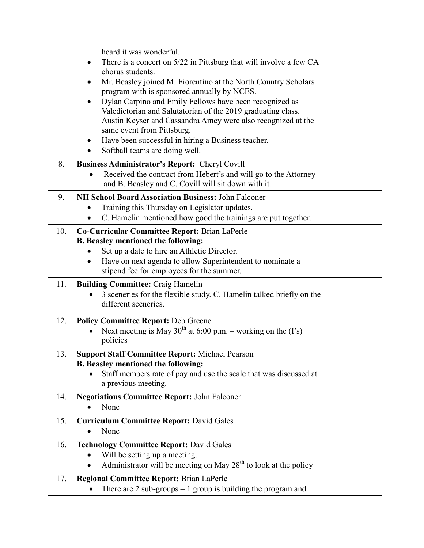|     | heard it was wonderful.<br>There is a concert on 5/22 in Pittsburg that will involve a few CA<br>chorus students.<br>Mr. Beasley joined M. Fiorentino at the North Country Scholars<br>program with is sponsored annually by NCES.<br>Dylan Carpino and Emily Fellows have been recognized as<br>Valedictorian and Salutatorian of the 2019 graduating class.<br>Austin Keyser and Cassandra Amey were also recognized at the<br>same event from Pittsburg.<br>Have been successful in hiring a Business teacher.<br>Softball teams are doing well. |
|-----|-----------------------------------------------------------------------------------------------------------------------------------------------------------------------------------------------------------------------------------------------------------------------------------------------------------------------------------------------------------------------------------------------------------------------------------------------------------------------------------------------------------------------------------------------------|
| 8.  | <b>Business Administrator's Report: Cheryl Covill</b><br>Received the contract from Hebert's and will go to the Attorney<br>and B. Beasley and C. Covill will sit down with it.                                                                                                                                                                                                                                                                                                                                                                     |
| 9.  | <b>NH School Board Association Business: John Falconer</b><br>Training this Thursday on Legislator updates.<br>C. Hamelin mentioned how good the trainings are put together.                                                                                                                                                                                                                                                                                                                                                                        |
| 10. | Co-Curricular Committee Report: Brian LaPerle<br><b>B. Beasley mentioned the following:</b><br>Set up a date to hire an Athletic Director.<br>Have on next agenda to allow Superintendent to nominate a<br>stipend fee for employees for the summer.                                                                                                                                                                                                                                                                                                |
| 11. | <b>Building Committee: Craig Hamelin</b><br>3 sceneries for the flexible study. C. Hamelin talked briefly on the<br>different sceneries.                                                                                                                                                                                                                                                                                                                                                                                                            |
| 12. | <b>Policy Committee Report: Deb Greene</b><br>Next meeting is May $30^{th}$ at 6:00 p.m. – working on the (I's)<br>policies                                                                                                                                                                                                                                                                                                                                                                                                                         |
| 13. | <b>Support Staff Committee Report: Michael Pearson</b><br><b>B. Beasley mentioned the following:</b><br>Staff members rate of pay and use the scale that was discussed at<br>a previous meeting.                                                                                                                                                                                                                                                                                                                                                    |
| 14. | <b>Negotiations Committee Report: John Falconer</b><br>None                                                                                                                                                                                                                                                                                                                                                                                                                                                                                         |
| 15. | <b>Curriculum Committee Report: David Gales</b><br>None                                                                                                                                                                                                                                                                                                                                                                                                                                                                                             |
| 16. | <b>Technology Committee Report: David Gales</b><br>Will be setting up a meeting.<br>Administrator will be meeting on May $28th$ to look at the policy                                                                                                                                                                                                                                                                                                                                                                                               |
| 17. | <b>Regional Committee Report: Brian LaPerle</b><br>There are $2$ sub-groups $-1$ group is building the program and                                                                                                                                                                                                                                                                                                                                                                                                                                  |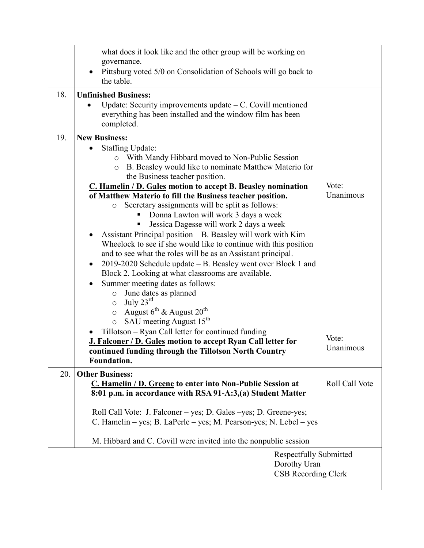|                                                                             | what does it look like and the other group will be working on<br>governance.<br>Pittsburg voted 5/0 on Consolidation of Schools will go back to<br>$\bullet$<br>the table.                                                                                                                                                                                                                                                                                                                                                                                                                                                                                                                                                                                                                                                                                                                                                                                                                                                                                                                                                                                    |                             |  |
|-----------------------------------------------------------------------------|---------------------------------------------------------------------------------------------------------------------------------------------------------------------------------------------------------------------------------------------------------------------------------------------------------------------------------------------------------------------------------------------------------------------------------------------------------------------------------------------------------------------------------------------------------------------------------------------------------------------------------------------------------------------------------------------------------------------------------------------------------------------------------------------------------------------------------------------------------------------------------------------------------------------------------------------------------------------------------------------------------------------------------------------------------------------------------------------------------------------------------------------------------------|-----------------------------|--|
| 18.                                                                         | <b>Unfinished Business:</b><br>Update: Security improvements update $-C$ . Covill mentioned<br>everything has been installed and the window film has been<br>completed.                                                                                                                                                                                                                                                                                                                                                                                                                                                                                                                                                                                                                                                                                                                                                                                                                                                                                                                                                                                       |                             |  |
| 19.                                                                         | <b>New Business:</b><br><b>Staffing Update:</b><br>o With Mandy Hibbard moved to Non-Public Session<br>B. Beasley would like to nominate Matthew Materio for<br>$\circ$<br>the Business teacher position.<br>C. Hamelin / D. Gales motion to accept B. Beasley nomination<br>of Matthew Materio to fill the Business teacher position.<br>Secretary assignments will be split as follows:<br>$\circ$<br>Donna Lawton will work 3 days a week<br>Jessica Dagesse will work 2 days a week<br>Assistant Principal position - B. Beasley will work with Kim<br>Wheelock to see if she would like to continue with this position<br>and to see what the roles will be as an Assistant principal.<br>2019-2020 Schedule update – B. Beasley went over Block 1 and<br>$\bullet$<br>Block 2. Looking at what classrooms are available.<br>Summer meeting dates as follows:<br>June dates as planned<br>$\circ$<br>July $23^{\text{rd}}$<br>$\circ$<br>August $6^{th}$ & August $20^{th}$<br>$\circ$<br>SAU meeting August 15 <sup>th</sup><br>O<br>Tillotson – Ryan Call letter for continued funding<br>J. Falconer / D. Gales motion to accept Ryan Call letter for | Vote:<br>Unanimous<br>Vote: |  |
|                                                                             | continued funding through the Tillotson North Country<br><b>Foundation.</b>                                                                                                                                                                                                                                                                                                                                                                                                                                                                                                                                                                                                                                                                                                                                                                                                                                                                                                                                                                                                                                                                                   | Unanimous                   |  |
| 20.                                                                         | <b>Other Business:</b><br>C. Hamelin / D. Greene to enter into Non-Public Session at<br>8:01 p.m. in accordance with RSA 91-A:3,(a) Student Matter<br>Roll Call Vote: J. Falconer – yes; D. Gales – yes; D. Greene-yes;<br>C. Hamelin – yes; B. LaPerle – yes; M. Pearson-yes; N. Lebel – yes                                                                                                                                                                                                                                                                                                                                                                                                                                                                                                                                                                                                                                                                                                                                                                                                                                                                 | Roll Call Vote              |  |
|                                                                             | M. Hibbard and C. Covill were invited into the nonpublic session                                                                                                                                                                                                                                                                                                                                                                                                                                                                                                                                                                                                                                                                                                                                                                                                                                                                                                                                                                                                                                                                                              |                             |  |
| <b>Respectfully Submitted</b><br>Dorothy Uran<br><b>CSB Recording Clerk</b> |                                                                                                                                                                                                                                                                                                                                                                                                                                                                                                                                                                                                                                                                                                                                                                                                                                                                                                                                                                                                                                                                                                                                                               |                             |  |